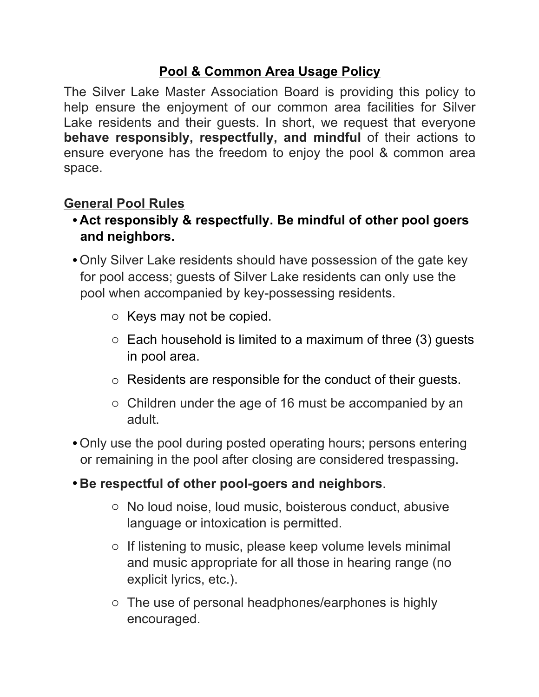## **Pool & Common Area Usage Policy**

The Silver Lake Master Association Board is providing this policy to help ensure the enjoyment of our common area facilities for Silver Lake residents and their guests. In short, we request that everyone **behave responsibly, respectfully, and mindful** of their actions to ensure everyone has the freedom to enjoy the pool & common area space.

## **General Pool Rules**

- •**Act responsibly & respectfully. Be mindful of other pool goers and neighbors.**
- •Only Silver Lake residents should have possession of the gate key for pool access; guests of Silver Lake residents can only use the pool when accompanied by key-possessing residents.
	- o Keys may not be copied.
	- $\circ$  Each household is limited to a maximum of three (3) guests in pool area.
	- o Residents are responsible for the conduct of their guests.
	- o Children under the age of 16 must be accompanied by an adult.
- •Only use the pool during posted operating hours; persons entering or remaining in the pool after closing are considered trespassing.
- •**Be respectful of other pool-goers and neighbors**.
	- o No loud noise, loud music, boisterous conduct, abusive language or intoxication is permitted.
	- o If listening to music, please keep volume levels minimal and music appropriate for all those in hearing range (no explicit lyrics, etc.).
	- o The use of personal headphones/earphones is highly encouraged.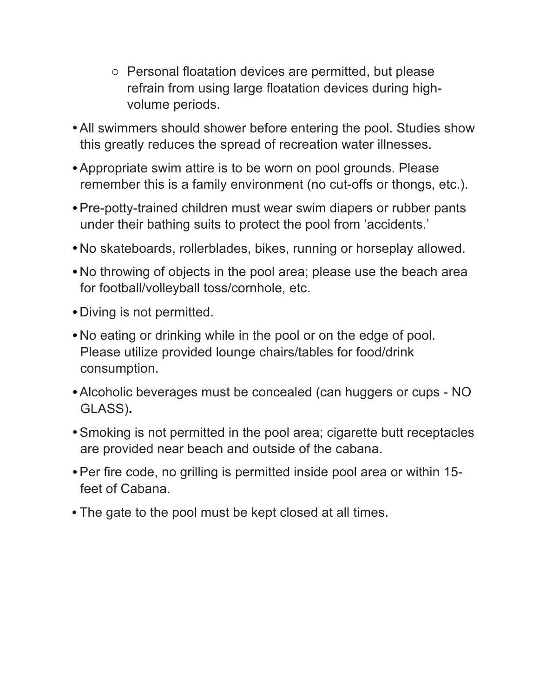- o Personal floatation devices are permitted, but please refrain from using large floatation devices during highvolume periods.
- •All swimmers should shower before entering the pool. Studies show this greatly reduces the spread of recreation water illnesses.
- •Appropriate swim attire is to be worn on pool grounds. Please remember this is a family environment (no cut-offs or thongs, etc.).
- •Pre-potty-trained children must wear swim diapers or rubber pants under their bathing suits to protect the pool from 'accidents.'
- •No skateboards, rollerblades, bikes, running or horseplay allowed.
- •No throwing of objects in the pool area; please use the beach area for football/volleyball toss/cornhole, etc.
- •Diving is not permitted.
- •No eating or drinking while in the pool or on the edge of pool. Please utilize provided lounge chairs/tables for food/drink consumption.
- •Alcoholic beverages must be concealed (can huggers or cups NO GLASS)**.**
- •Smoking is not permitted in the pool area; cigarette butt receptacles are provided near beach and outside of the cabana.
- •Per fire code, no grilling is permitted inside pool area or within 15 feet of Cabana.
- The gate to the pool must be kept closed at all times.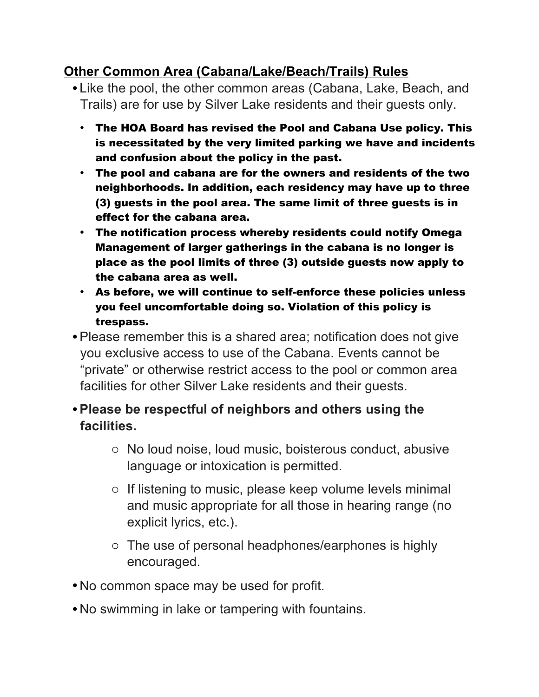## **Other Common Area (Cabana/Lake/Beach/Trails) Rules**

- •Like the pool, the other common areas (Cabana, Lake, Beach, and Trails) are for use by Silver Lake residents and their guests only.
	- The HOA Board has revised the Pool and Cabana Use policy. This is necessitated by the very limited parking we have and incidents and confusion about the policy in the past.
	- The pool and cabana are for the owners and residents of the two neighborhoods. In addition, each residency may have up to three (3) guests in the pool area. The same limit of three guests is in effect for the cabana area.
	- The notification process whereby residents could notify Omega Management of larger gatherings in the cabana is no longer is place as the pool limits of three (3) outside guests now apply to the cabana area as well.
	- As before, we will continue to self-enforce these policies unless you feel uncomfortable doing so. Violation of this policy is trespass.
- •Please remember this is a shared area; notification does not give you exclusive access to use of the Cabana. Events cannot be "private" or otherwise restrict access to the pool or common area facilities for other Silver Lake residents and their guests.
- •**Please be respectful of neighbors and others using the facilities.**
	- o No loud noise, loud music, boisterous conduct, abusive language or intoxication is permitted.
	- o If listening to music, please keep volume levels minimal and music appropriate for all those in hearing range (no explicit lyrics, etc.).
	- o The use of personal headphones/earphones is highly encouraged.
- •No common space may be used for profit.
- •No swimming in lake or tampering with fountains.